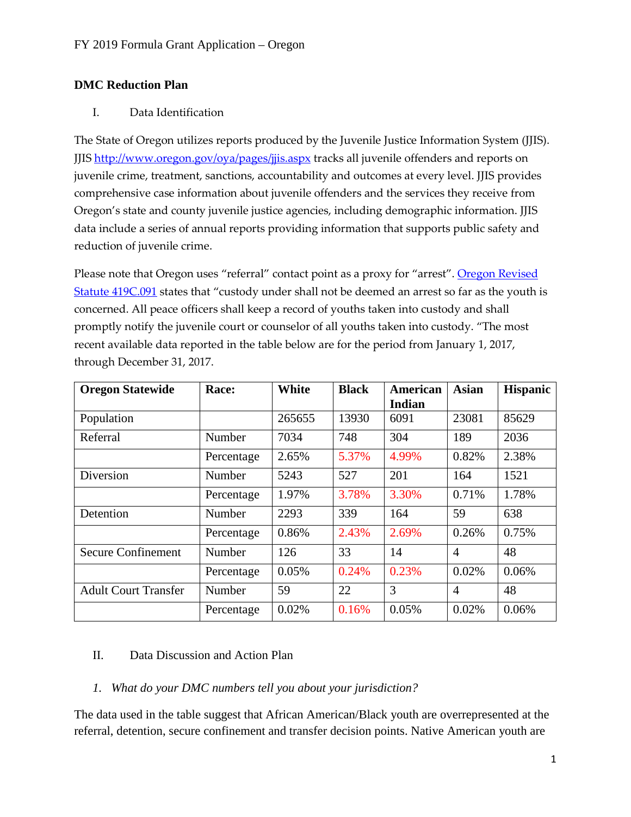## **DMC Reduction Plan**

#### I. Data Identification

The State of Oregon utilizes reports produced by the Juvenile Justice Information System (JJIS). JJIS<http://www.oregon.gov/oya/pages/jjis.aspx> tracks all juvenile offenders and reports on juvenile crime, treatment, sanctions, accountability and outcomes at every level. JJIS provides comprehensive case information about juvenile offenders and the services they receive from Oregon's state and county juvenile justice agencies, including demographic information. JJIS data include a series of annual reports providing information that supports public safety and reduction of juvenile crime.

Please note that Oregon uses "referral" contact point as a proxy for "arrest". Oregon Revised [Statute 419C.091](https://www.oregonlaws.org/ors/419C.091) states that "custody under shall not be deemed an arrest so far as the youth is concerned. All peace officers shall keep a record of youths taken into custody and shall promptly notify the juvenile court or counselor of all youths taken into custody. "The most recent available data reported in the table below are for the period from January 1, 2017, through December 31, 2017.

| <b>Oregon Statewide</b>     | Race:      | White  | <b>Black</b> | <b>American</b> | <b>Asian</b>   | <b>Hispanic</b> |
|-----------------------------|------------|--------|--------------|-----------------|----------------|-----------------|
|                             |            |        |              | Indian          |                |                 |
| Population                  |            | 265655 | 13930        | 6091            | 23081          | 85629           |
| Referral                    | Number     | 7034   | 748          | 304             | 189            | 2036            |
|                             | Percentage | 2.65%  | 5.37%        | 4.99%           | 0.82%          | 2.38%           |
| Diversion                   | Number     | 5243   | 527          | 201             | 164            | 1521            |
|                             | Percentage | 1.97%  | 3.78%        | 3.30%           | 0.71%          | 1.78%           |
| Detention                   | Number     | 2293   | 339          | 164             | 59             | 638             |
|                             | Percentage | 0.86%  | 2.43%        | 2.69%           | 0.26%          | 0.75%           |
| <b>Secure Confinement</b>   | Number     | 126    | 33           | 14              | $\overline{4}$ | 48              |
|                             | Percentage | 0.05%  | 0.24%        | 0.23%           | 0.02%          | 0.06%           |
| <b>Adult Court Transfer</b> | Number     | 59     | 22           | 3               | $\overline{4}$ | 48              |
|                             | Percentage | 0.02%  | 0.16%        | 0.05%           | 0.02%          | 0.06%           |

# II. Data Discussion and Action Plan

### *1. What do your DMC numbers tell you about your jurisdiction?*

The data used in the table suggest that African American/Black youth are overrepresented at the referral, detention, secure confinement and transfer decision points. Native American youth are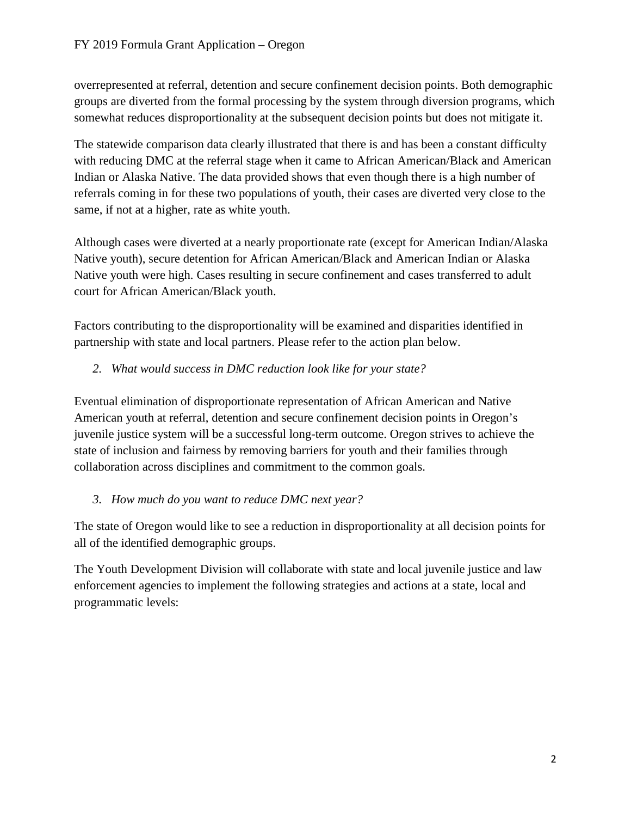overrepresented at referral, detention and secure confinement decision points. Both demographic groups are diverted from the formal processing by the system through diversion programs, which somewhat reduces disproportionality at the subsequent decision points but does not mitigate it.

The statewide comparison data clearly illustrated that there is and has been a constant difficulty with reducing DMC at the referral stage when it came to African American/Black and American Indian or Alaska Native. The data provided shows that even though there is a high number of referrals coming in for these two populations of youth, their cases are diverted very close to the same, if not at a higher, rate as white youth.

Although cases were diverted at a nearly proportionate rate (except for American Indian/Alaska Native youth), secure detention for African American/Black and American Indian or Alaska Native youth were high. Cases resulting in secure confinement and cases transferred to adult court for African American/Black youth.

Factors contributing to the disproportionality will be examined and disparities identified in partnership with state and local partners. Please refer to the action plan below.

*2. What would success in DMC reduction look like for your state?*

Eventual elimination of disproportionate representation of African American and Native American youth at referral, detention and secure confinement decision points in Oregon's juvenile justice system will be a successful long-term outcome. Oregon strives to achieve the state of inclusion and fairness by removing barriers for youth and their families through collaboration across disciplines and commitment to the common goals.

### *3. How much do you want to reduce DMC next year?*

The state of Oregon would like to see a reduction in disproportionality at all decision points for all of the identified demographic groups.

The Youth Development Division will collaborate with state and local juvenile justice and law enforcement agencies to implement the following strategies and actions at a state, local and programmatic levels: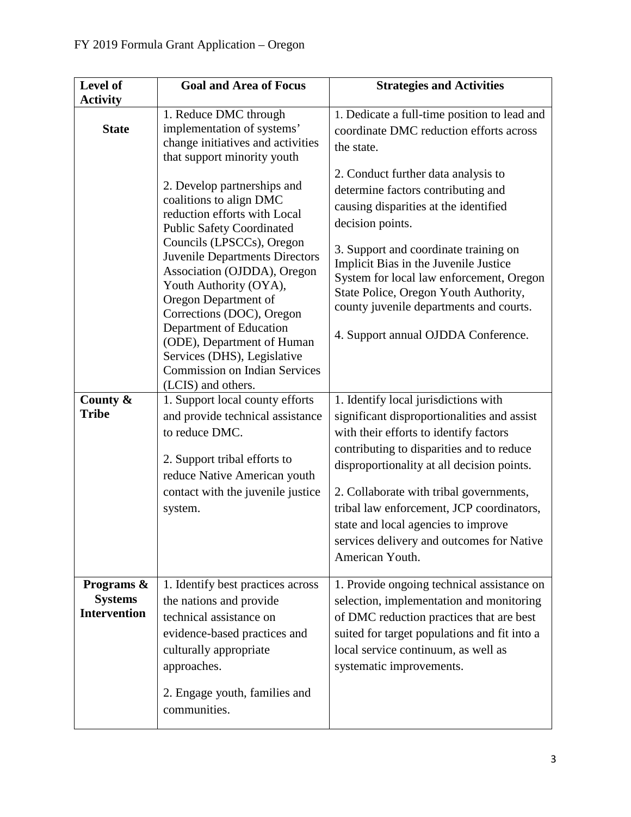| Level of                                                                                                                                                                                                                                                                                 | <b>Goal and Area of Focus</b>                                                                                                                                                                                                                                                                                                          | <b>Strategies and Activities</b>                                                                                                                                                                                                                                                                                                                                                                                        |  |  |
|------------------------------------------------------------------------------------------------------------------------------------------------------------------------------------------------------------------------------------------------------------------------------------------|----------------------------------------------------------------------------------------------------------------------------------------------------------------------------------------------------------------------------------------------------------------------------------------------------------------------------------------|-------------------------------------------------------------------------------------------------------------------------------------------------------------------------------------------------------------------------------------------------------------------------------------------------------------------------------------------------------------------------------------------------------------------------|--|--|
| <b>Activity</b><br>1. Reduce DMC through<br>implementation of systems'<br><b>State</b><br>change initiatives and activities<br>that support minority youth<br>2. Develop partnerships and<br>coalitions to align DMC<br>reduction efforts with Local<br><b>Public Safety Coordinated</b> |                                                                                                                                                                                                                                                                                                                                        | 1. Dedicate a full-time position to lead and<br>coordinate DMC reduction efforts across<br>the state.<br>2. Conduct further data analysis to<br>determine factors contributing and<br>causing disparities at the identified<br>decision points.                                                                                                                                                                         |  |  |
|                                                                                                                                                                                                                                                                                          | Councils (LPSCCs), Oregon<br><b>Juvenile Departments Directors</b><br>Association (OJDDA), Oregon<br>Youth Authority (OYA),<br>Oregon Department of<br>Corrections (DOC), Oregon<br>Department of Education<br>(ODE), Department of Human<br>Services (DHS), Legislative<br><b>Commission on Indian Services</b><br>(LCIS) and others. | 3. Support and coordinate training on<br>Implicit Bias in the Juvenile Justice<br>System for local law enforcement, Oregon<br>State Police, Oregon Youth Authority,<br>county juvenile departments and courts.<br>4. Support annual OJDDA Conference.                                                                                                                                                                   |  |  |
| County &<br><b>Tribe</b>                                                                                                                                                                                                                                                                 | 1. Support local county efforts<br>and provide technical assistance<br>to reduce DMC.<br>2. Support tribal efforts to<br>reduce Native American youth<br>contact with the juvenile justice<br>system.                                                                                                                                  | 1. Identify local jurisdictions with<br>significant disproportionalities and assist<br>with their efforts to identify factors<br>contributing to disparities and to reduce<br>disproportionality at all decision points.<br>2. Collaborate with tribal governments,<br>tribal law enforcement, JCP coordinators,<br>state and local agencies to improve<br>services delivery and outcomes for Native<br>American Youth. |  |  |
| Programs &<br><b>Systems</b><br><b>Intervention</b>                                                                                                                                                                                                                                      | 1. Identify best practices across<br>the nations and provide<br>technical assistance on<br>evidence-based practices and<br>culturally appropriate<br>approaches.<br>2. Engage youth, families and<br>communities.                                                                                                                      | 1. Provide ongoing technical assistance on<br>selection, implementation and monitoring<br>of DMC reduction practices that are best<br>suited for target populations and fit into a<br>local service continuum, as well as<br>systematic improvements.                                                                                                                                                                   |  |  |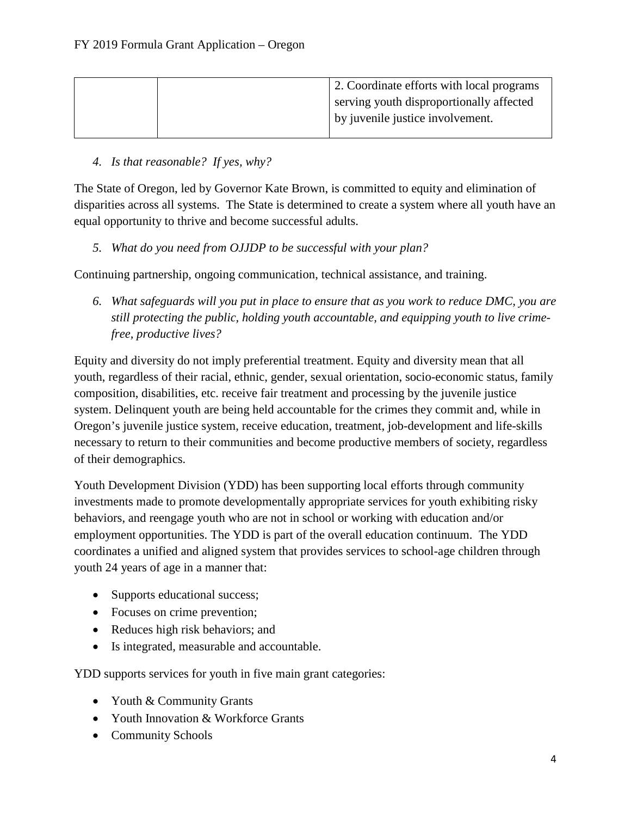|  | 2. Coordinate efforts with local programs |
|--|-------------------------------------------|
|  | serving youth disproportionally affected  |
|  | by juvenile justice involvement.          |
|  |                                           |

### *4. Is that reasonable? If yes, why?*

The State of Oregon, led by Governor Kate Brown, is committed to equity and elimination of disparities across all systems. The State is determined to create a system where all youth have an equal opportunity to thrive and become successful adults.

### *5. What do you need from OJJDP to be successful with your plan?*

Continuing partnership, ongoing communication, technical assistance, and training.

*6. What safeguards will you put in place to ensure that as you work to reduce DMC, you are still protecting the public, holding youth accountable, and equipping youth to live crimefree, productive lives?* 

Equity and diversity do not imply preferential treatment. Equity and diversity mean that all youth, regardless of their racial, ethnic, gender, sexual orientation, socio-economic status, family composition, disabilities, etc. receive fair treatment and processing by the juvenile justice system. Delinquent youth are being held accountable for the crimes they commit and, while in Oregon's juvenile justice system, receive education, treatment, job-development and life-skills necessary to return to their communities and become productive members of society, regardless of their demographics.

Youth Development Division (YDD) has been supporting local efforts through community investments made to promote developmentally appropriate services for youth exhibiting risky behaviors, and reengage youth who are not in school or working with education and/or employment opportunities. The YDD is part of the overall education continuum. The YDD coordinates a unified and aligned system that provides services to school-age children through youth 24 years of age in a manner that:

- Supports educational success;
- Focuses on crime prevention;
- Reduces high risk behaviors; and
- Is integrated, measurable and accountable.

YDD supports services for youth in five main grant categories:

- Youth & Community Grants
- Youth Innovation & Workforce Grants
- Community Schools